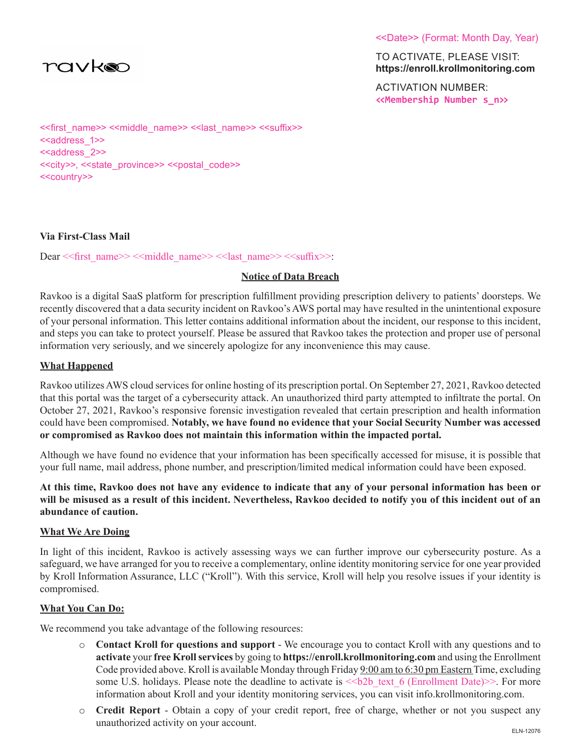

<<Date>> (Format: Month Day, Year)

TO ACTIVATE, PLEASE VISIT: **https://enroll.krollmonitoring.com**

ACTIVATION NUMBER: **<<Membership Number s\_n>>**

<<first\_name>> <<middle\_name>> <<last\_name>> <<suffix>> <<address\_1>> <<address 2>> <<city>>, <<state\_province>> <<postal\_code>> <<country>>

# **Via First-Class Mail**

Dear << first\_name>> <<middle\_name>> << last\_name>> << suffix>>:

### **Notice of Data Breach**

Ravkoo is a digital SaaS platform for prescription fulfillment providing prescription delivery to patients' doorsteps. We recently discovered that a data security incident on Ravkoo's AWS portal may have resulted in the unintentional exposure of your personal information. This letter contains additional information about the incident, our response to this incident, and steps you can take to protect yourself. Please be assured that Ravkoo takes the protection and proper use of personal information very seriously, and we sincerely apologize for any inconvenience this may cause.

# **What Happened**

Ravkoo utilizes AWS cloud services for online hosting of its prescription portal. On September 27, 2021, Ravkoo detected that this portal was the target of a cybersecurity attack. An unauthorized third party attempted to infiltrate the portal. On October 27, 2021, Ravkoo's responsive forensic investigation revealed that certain prescription and health information could have been compromised. **Notably, we have found no evidence that your Social Security Number was accessed or compromised as Ravkoo does not maintain this information within the impacted portal.**

Although we have found no evidence that your information has been specifically accessed for misuse, it is possible that your full name, mail address, phone number, and prescription/limited medical information could have been exposed.

**At this time, Ravkoo does not have any evidence to indicate that any of your personal information has been or will be misused as a result of this incident. Nevertheless, Ravkoo decided to notify you of this incident out of an abundance of caution.**

### **What We Are Doing**

In light of this incident, Ravkoo is actively assessing ways we can further improve our cybersecurity posture. As a safeguard, we have arranged for you to receive a complementary, online identity monitoring service for one year provided by Kroll Information Assurance, LLC ("Kroll"). With this service, Kroll will help you resolve issues if your identity is compromised.

### **What You Can Do:**

We recommend you take advantage of the following resources:

- o **Contact Kroll for questions and support**  We encourage you to contact Kroll with any questions and to **activate** your **free Kroll services** by going to **https://enroll.krollmonitoring.com** and using the Enrollment Code provided above. Kroll is available Monday through Friday 9:00 am to 6:30 pm Eastern Time, excluding some U.S. holidays. Please note the deadline to activate is  $\lt$ b2b text 6 (Enrollment Date)>>. For more information about Kroll and your identity monitoring services, you can visit info.krollmonitoring.com.
- o **Credit Report**  Obtain a copy of your credit report, free of charge, whether or not you suspect any unauthorized activity on your account.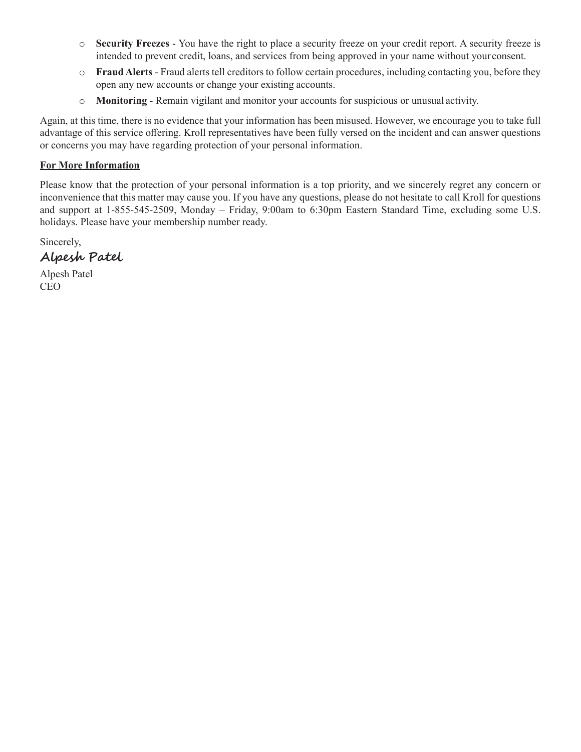- o **Security Freezes**  You have the right to place a security freeze on your credit report. A security freeze is intended to prevent credit, loans, and services from being approved in your name without your consent.
- o **Fraud Alerts**  Fraud alerts tell creditors to follow certain procedures, including contacting you, before they open any new accounts or change your existing accounts.
- o **Monitoring**  Remain vigilant and monitor your accounts for suspicious or unusual activity.

Again, at this time, there is no evidence that your information has been misused. However, we encourage you to take full advantage of this service offering. Kroll representatives have been fully versed on the incident and can answer questions or concerns you may have regarding protection of your personal information.

# **For More Information**

Please know that the protection of your personal information is a top priority, and we sincerely regret any concern or inconvenience that this matter may cause you. If you have any questions, please do not hesitate to call Kroll for questions and support at 1-855-545-2509, Monday – Friday, 9:00am to 6:30pm Eastern Standard Time, excluding some U.S. holidays. Please have your membership number ready.

Sincerely,

**Alpesh Patel**

Alpesh Patel CEO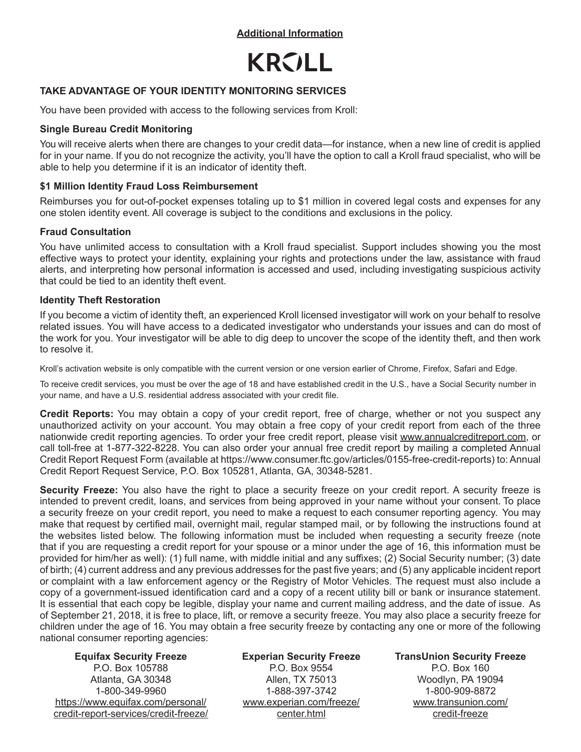**Additional Information**



# **TAKE ADVANTAGE OF YOUR IDENTITY MONITORING SERVICES**

You have been provided with access to the following services from Kroll:

# **Single Bureau Credit Monitoring**

You will receive alerts when there are changes to your credit data—for instance, when a new line of credit is applied for in your name. If you do not recognize the activity, you'll have the option to call a Kroll fraud specialist, who will be able to help you determine if it is an indicator of identity theft.

# **\$1 Million Identity Fraud Loss Reimbursement**

Reimburses you for out-of-pocket expenses totaling up to \$1 million in covered legal costs and expenses for any one stolen identity event. All coverage is subject to the conditions and exclusions in the policy.

# **Fraud Consultation**

You have unlimited access to consultation with a Kroll fraud specialist. Support includes showing you the most effective ways to protect your identity, explaining your rights and protections under the law, assistance with fraud alerts, and interpreting how personal information is accessed and used, including investigating suspicious activity that could be tied to an identity theft event.

# **Identity Theft Restoration**

If you become a victim of identity theft, an experienced Kroll licensed investigator will work on your behalf to resolve related issues. You will have access to a dedicated investigator who understands your issues and can do most of the work for you. Your investigator will be able to dig deep to uncover the scope of the identity theft, and then work to resolve it.

Kroll's activation website is only compatible with the current version or one version earlier of Chrome, Firefox, Safari and Edge.

To receive credit services, you must be over the age of 18 and have established credit in the U.S., have a Social Security number in your name, and have a U.S. residential address associated with your credit file.

**Credit Reports:** You may obtain a copy of your credit report, free of charge, whether or not you suspect any unauthorized activity on your account. You may obtain a free copy of your credit report from each of the three nationwide credit reporting agencies. To order your free credit report, please visit www.annualcreditreport.com, or call toll-free at 1-877-322-8228. You can also order your annual free credit report by mailing a completed Annual Credit Report Request Form (available at https://www.consumer.ftc.gov/articles/0155-free-credit-reports) to: Annual Credit Report Request Service, P.O. Box 105281, Atlanta, GA, 30348-5281.

**Security Freeze:** You also have the right to place a security freeze on your credit report. A security freeze is intended to prevent credit, loans, and services from being approved in your name without your consent. To place a security freeze on your credit report, you need to make a request to each consumer reporting agency. You may make that request by certified mail, overnight mail, regular stamped mail, or by following the instructions found at the websites listed below. The following information must be included when requesting a security freeze (note that if you are requesting a credit report for your spouse or a minor under the age of 16, this information must be provided for him/her as well): (1) full name, with middle initial and any suffixes; (2) Social Security number; (3) date of birth; (4) current address and any previous addresses for the past five years; and (5) any applicable incident report or complaint with a law enforcement agency or the Registry of Motor Vehicles. The request must also include a copy of a government-issued identification card and a copy of a recent utility bill or bank or insurance statement. It is essential that each copy be legible, display your name and current mailing address, and the date of issue. As of September 21, 2018, it is free to place, lift, or remove a security freeze. You may also place a security freeze for children under the age of 16. You may obtain a free security freeze by contacting any one or more of the following national consumer reporting agencies:

#### **Equifax Security Freeze**

P.O. Box 105788 Atlanta, GA 30348 1-800-349-9960 https://www.equifax.com/personal/ credit-report-services/credit-freeze/ **Experian Security Freeze** P.O. Box 9554 Allen, TX 75013 1-888-397-3742 www.experian.com/freeze/ center.html

**TransUnion Security Freeze**

P.O. Box 160 Woodlyn, PA 19094 1-800-909-8872 www.transunion.com/ credit-freeze